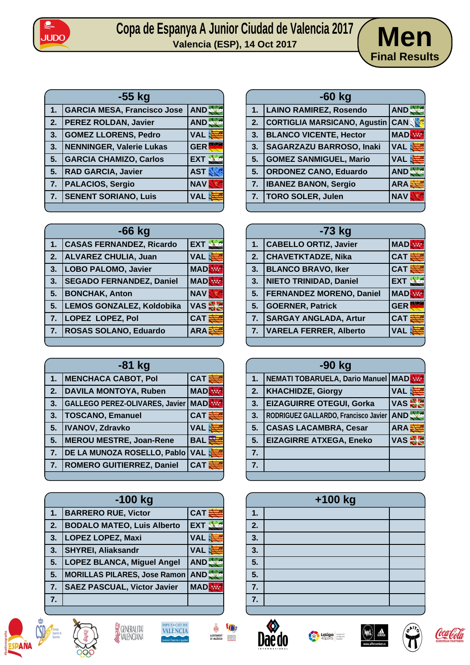

## Copa de Espanya A Junior Ciudad de Valencia 2017 **Men**



| -55 kg |                                    |            |
|--------|------------------------------------|------------|
| 1.     | <b>GARCIA MESA, Francisco Jose</b> | AND.       |
| 2.     | <b>PEREZ ROLDAN, Javier</b>        | AND.       |
| 3.     | <b>GOMEZ LLORENS, Pedro</b>        | <b>VAL</b> |
| 3.     | NENNINGER, Valerie Lukas           | <b>GER</b> |
| 5.     | <b>GARCIA CHAMIZO, Carlos</b>      | <b>EXT</b> |
| 5.     | <b>RAD GARCIA, Javier</b>          | <b>AST</b> |
| 7.     | <b>PALACIOS, Sergio</b>            | <b>NAV</b> |
| 7.     | <b>SENENT SORIANO, Luis</b>        | VAL        |
|        |                                    |            |

| $-66$ kg |                                  |              |
|----------|----------------------------------|--------------|
| 1.       | <b>CASAS FERNANDEZ, Ricardo</b>  | <b>EXT</b>   |
| 2.       | ALVAREZ CHULIA, Juan             | <b>VAL</b>   |
| 3.       | <b>LOBO PALOMO, Javier</b>       | <b>MAD</b>   |
| 3.       | <b>SEGADO FERNANDEZ, Daniel</b>  | <b>MAD</b>   |
| 5.       | <b>BONCHAK, Anton</b>            | <b>NAV</b>   |
| 5.       | <b>LEMOS GONZALEZ, Koldobika</b> | VAS <b>N</b> |
| 7.       | <b>LOPEZ LOPEZ, Pol</b>          | <b>CAT</b>   |
| 7.       | ROSAS SOLANO, Eduardo            | <b>ARA</b>   |
|          |                                  |              |

| $-81$ kg |                                       |            |
|----------|---------------------------------------|------------|
| 1.       | <b>MENCHACA CABOT, Pol</b>            | <b>CAT</b> |
| 2.       | <b>DAVILA MONTOYA, Ruben</b>          | <b>MAD</b> |
| 3.       | <b>GALLEGO PEREZ-OLIVARES, Javier</b> | <b>MAD</b> |
| 3.       | <b>TOSCANO, Emanuel</b>               | <b>CAT</b> |
| 5.       | <b>IVANOV, Zdravko</b>                | <b>VAL</b> |
| 5.       | <b>MEROU MESTRE, Joan-Rene</b>        | <b>BAL</b> |
| 7.       | DE LA MUNOZA ROSELLO, Pablo           | <b>VAL</b> |
| 7.       | <b>ROMERO GUITIERREZ, Daniel</b>      | <b>CAT</b> |
|          |                                       |            |

| $-100$ kg |                                         |            |
|-----------|-----------------------------------------|------------|
| 1.        | <b>BARRERO RUE, Victor</b>              | <b>CAT</b> |
| 2.        | <b>BODALO MATEO, Luis Alberto</b>       | <b>EXT</b> |
| 3.        | LOPEZ LOPEZ, Maxi                       | <b>VAL</b> |
| 3.        | <b>SHYREI, Aliaksandr</b>               | <b>VAL</b> |
| 5.        | <b>LOPEZ BLANCA, Miguel Angel</b>       | <b>AND</b> |
| 5.        | <b>MORILLAS PILARES, Jose Ramon AND</b> |            |
| 7.        | <b>SAEZ PASCUAL, Victor Javier</b>      | <b>MAD</b> |
| 7.        |                                         |            |













| -ou ka |                                     |              |
|--------|-------------------------------------|--------------|
| 1.     | <b>LAINO RAMIREZ, Rosendo</b>       | AND.         |
| 2.     | <b>CORTIGLIA MARSICANO, Agustin</b> | <b>CANS</b>  |
| 3.     | <b>BLANCO VICENTE, Hector</b>       | <b>MAD</b>   |
| 3.     | <b>SAGARZAZU BARROSO, Inaki</b>     | <b>VAL</b>   |
| 5.     | <b>GOMEZ SANMIGUEL, Mario</b>       | <b>VAL</b>   |
| 5.     | <b>ORDONEZ CANO, Eduardo</b>        | AND:         |
| 7.     | <b>IBANEZ BANON, Sergio</b>         | $ARA\vec{z}$ |
| 7.     | <b>TORO SOLER, Julen</b>            | <b>NAV</b>   |
|        |                                     |              |
|        |                                     |              |

**-60 kg**

| $-73$ kg |                               |             |
|----------|-------------------------------|-------------|
| 1.       | <b>CABELLO ORTIZ, Javier</b>  | <b>MADR</b> |
| 2.       | <b>CHAVETKTADZE, Nika</b>     | <b>CAT</b>  |
| 3.       | <b>BLANCO BRAVO, Iker</b>     | <b>CAT</b>  |
| 3.       | NIETO TRINIDAD, Daniel        | <b>EXT</b>  |
|          | 5.   FERNANDEZ MORENO, Daniel | <b>MAD</b>  |
| 5.       | <b>GOERNER, Patrick</b>       | <b>GER</b>  |
| 7.       | <b>SARGAY ANGLADA, Artur</b>  | <b>CAT</b>  |
| 7.       | <b>VARELA FERRER, Alberto</b> | <b>VAL</b>  |
|          |                               |             |

|    | -90 kg                                    |            |
|----|-------------------------------------------|------------|
| 1. | <b>NEMATI TOBARUELA, Dario Manuel MAD</b> |            |
| 2. | <b>KHACHIDZE, Giorgy</b>                  | <b>VAL</b> |
| 3. | <b>EIZAGUIRRE OTEGUI, Gorka</b>           | VAS        |
| 3. | RODRIGUEZ GALLARDO, Francisco Javier      | <b>AND</b> |
| 5. | <b>CASAS LACAMBRA, Cesar</b>              | <b>ARA</b> |
| 5. | <b>EIZAGIRRE ATXEGA, Eneko</b>            | VAS S      |
| 7. |                                           |            |
| 7. |                                           |            |
|    |                                           |            |

| +100 kg          |  |  |
|------------------|--|--|
| 1.               |  |  |
| 2.               |  |  |
| 3.               |  |  |
| 3.               |  |  |
| $\overline{5}$ . |  |  |
| $\overline{5}$ . |  |  |
| 7.               |  |  |
| $\overline{7}$ . |  |  |
|                  |  |  |